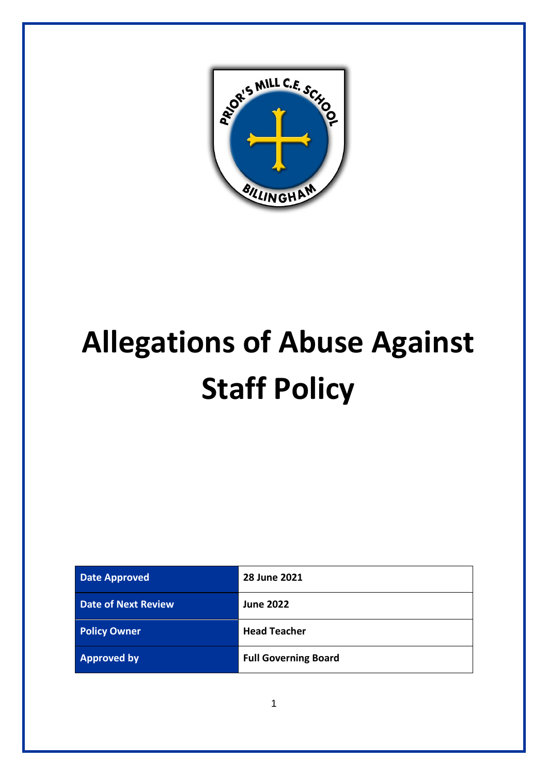

# **Allegations of Abuse Against Staff Policy**

| <b>Date Approved</b>       | 28 June 2021                |
|----------------------------|-----------------------------|
| <b>Date of Next Review</b> | <b>June 2022</b>            |
| <b>Policy Owner</b>        | <b>Head Teacher</b>         |
| <b>Approved by</b>         | <b>Full Governing Board</b> |

1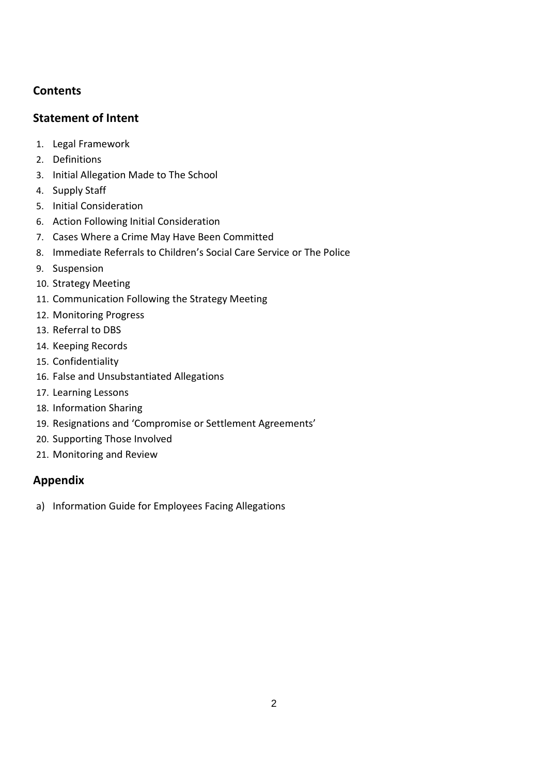# **Contents**

# **[Statement of Intent](#page-2-0)**

- 1. [Legal Framework](#page-3-0)
- 2. [Definitions](#page-3-1)
- 3. [Initial Allegation Made to The School](#page-4-0)
- 4. [Supply Staff](#page-5-0)
- 5. [Initial Consideration](#page-6-0)
- 6. [Action Following Initial Consideration](#page-6-1)
- 7. Cases Where a [Crime May Have Been Committed](#page-7-0)
- 8. Immediate Referrals t[o Children's Social Care Service](#page-7-1) or The Police
- 9. [Suspension](#page-8-0)
- 10. [Strategy Meeting](#page-9-0)
- 11. [Communication Following the Strategy Meeting](#page-9-1)
- 12. [Monitoring Progress](#page-10-0)
- 13. [Referral to DBS](#page-10-1)
- 14. [Keeping Records](#page-10-2)
- 15. [Confidentiality](#page-10-3)
- 16. [False and Unsubstantiated Allegations](#page-11-0)
- 17. [Learning Lessons](#page-11-1)
- 18. [Information Sharing](#page-12-0)
- 19. Resignations and 'Compromise o[r Settlement Agreements'](#page-12-1)
- 20. [Supporting Those Involved](#page-12-2)
- 21. [Monitoring and Review](#page-13-0)

# **Appendix**

a) [Information Guide for Employees Facing Allegations](#page-14-0)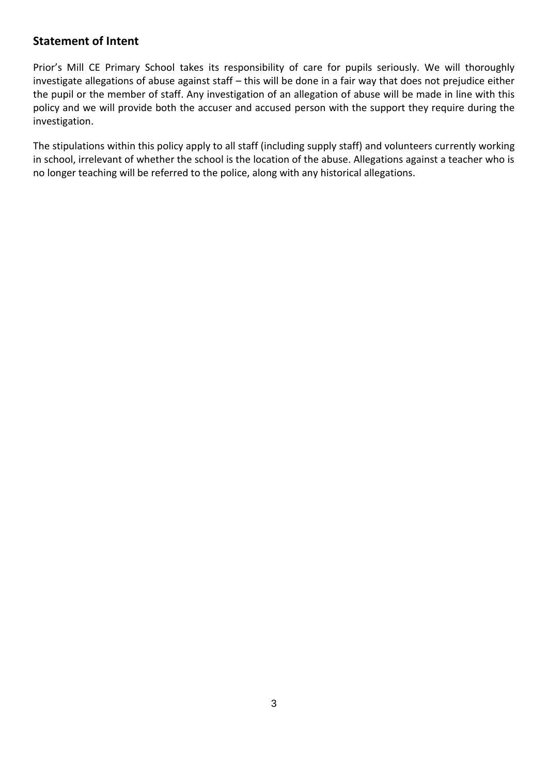# <span id="page-2-0"></span>**Statement of Intent**

Prior's Mill CE Primary School takes its responsibility of care for pupils seriously. We will thoroughly investigate allegations of abuse against staff – this will be done in a fair way that does not prejudice either the pupil or the member of staff. Any investigation of an allegation of abuse will be made in line with this policy and we will provide both the accuser and accused person with the support they require during the investigation.

The stipulations within this policy apply to all staff (including supply staff) and volunteers currently working in school, irrelevant of whether the school is the location of the abuse. Allegations against a teacher who is no longer teaching will be referred to the police, along with any historical allegations.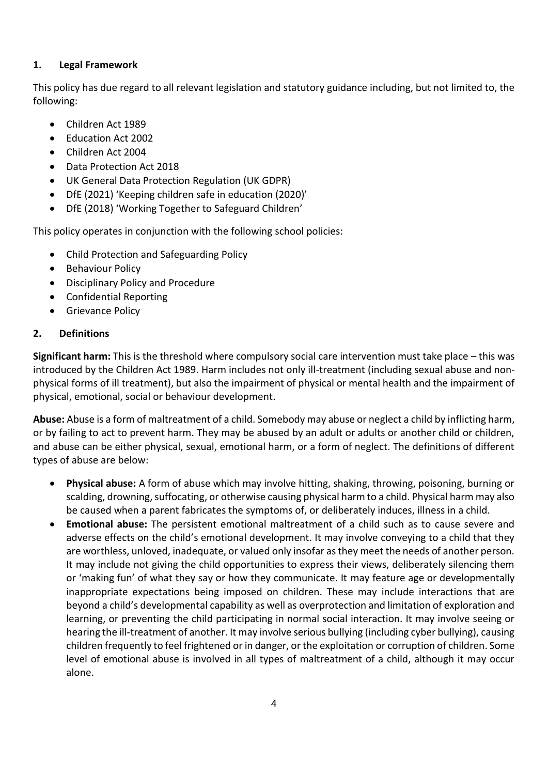## <span id="page-3-0"></span>**1. Legal Framework**

This policy has due regard to all relevant legislation and statutory guidance including, but not limited to, the following:

- Children Act 1989
- Education Act 2002
- Children Act 2004
- Data Protection Act 2018
- UK General Data Protection Regulation (UK GDPR)
- DfE (2021) 'Keeping children safe in education (2020)'
- DfE (2018) 'Working Together to Safeguard Children'

This policy operates in conjunction with the following school policies:

- Child Protection and Safeguarding Policy
- Behaviour Policy
- Disciplinary Policy and Procedure
- Confidential Reporting
- Grievance Policy

## <span id="page-3-1"></span>**2. Definitions**

**Significant harm:** This is the threshold where compulsory social care intervention must take place – this was introduced by the Children Act 1989. Harm includes not only ill-treatment (including sexual abuse and nonphysical forms of ill treatment), but also the impairment of physical or mental health and the impairment of physical, emotional, social or behaviour development.

**Abuse:** Abuse is a form of maltreatment of a child. Somebody may abuse or neglect a child by inflicting harm, or by failing to act to prevent harm. They may be abused by an adult or adults or another child or children, and abuse can be either physical, sexual, emotional harm, or a form of neglect. The definitions of different types of abuse are below:

- **Physical abuse:** A form of abuse which may involve hitting, shaking, throwing, poisoning, burning or scalding, drowning, suffocating, or otherwise causing physical harm to a child. Physical harm may also be caused when a parent fabricates the symptoms of, or deliberately induces, illness in a child.
- **Emotional abuse:** The persistent emotional maltreatment of a child such as to cause severe and adverse effects on the child's emotional development. It may involve conveying to a child that they are worthless, unloved, inadequate, or valued only insofar as they meet the needs of another person. It may include not giving the child opportunities to express their views, deliberately silencing them or 'making fun' of what they say or how they communicate. It may feature age or developmentally inappropriate expectations being imposed on children. These may include interactions that are beyond a child's developmental capability as well as overprotection and limitation of exploration and learning, or preventing the child participating in normal social interaction. It may involve seeing or hearing the ill-treatment of another. It may involve serious bullying (including cyber bullying), causing children frequently to feel frightened or in danger, or the exploitation or corruption of children. Some level of emotional abuse is involved in all types of maltreatment of a child, although it may occur alone.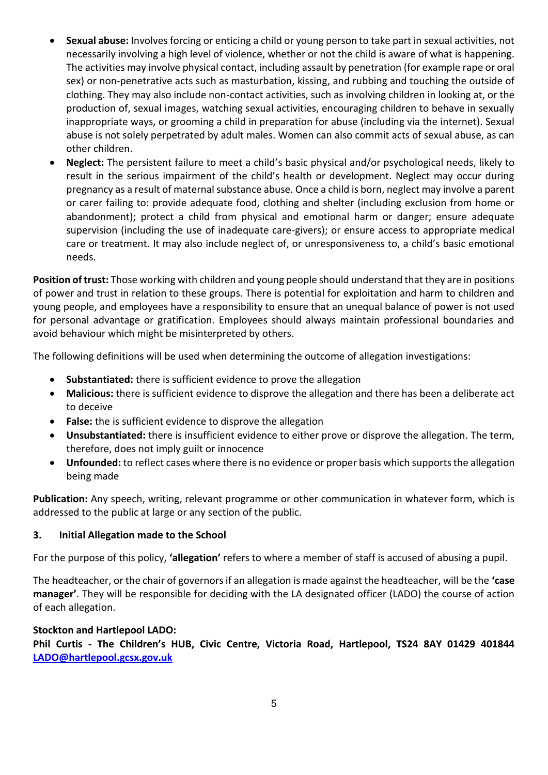- **Sexual abuse:** Involves forcing or enticing a child or young person to take part in sexual activities, not necessarily involving a high level of violence, whether or not the child is aware of what is happening. The activities may involve physical contact, including assault by penetration (for example rape or oral sex) or non-penetrative acts such as masturbation, kissing, and rubbing and touching the outside of clothing. They may also include non-contact activities, such as involving children in looking at, or the production of, sexual images, watching sexual activities, encouraging children to behave in sexually inappropriate ways, or grooming a child in preparation for abuse (including via the internet). Sexual abuse is not solely perpetrated by adult males. Women can also commit acts of sexual abuse, as can other children.
- **Neglect:** The persistent failure to meet a child's basic physical and/or psychological needs, likely to result in the serious impairment of the child's health or development. Neglect may occur during pregnancy as a result of maternal substance abuse. Once a child is born, neglect may involve a parent or carer failing to: provide adequate food, clothing and shelter (including exclusion from home or abandonment); protect a child from physical and emotional harm or danger; ensure adequate supervision (including the use of inadequate care-givers); or ensure access to appropriate medical care or treatment. It may also include neglect of, or unresponsiveness to, a child's basic emotional needs.

**Position of trust:** Those working with children and young people should understand that they are in positions of power and trust in relation to these groups. There is potential for exploitation and harm to children and young people, and employees have a responsibility to ensure that an unequal balance of power is not used for personal advantage or gratification. Employees should always maintain professional boundaries and avoid behaviour which might be misinterpreted by others.

The following definitions will be used when determining the outcome of allegation investigations:

- **Substantiated:** there is sufficient evidence to prove the allegation
- **Malicious:** there is sufficient evidence to disprove the allegation and there has been a deliberate act to deceive
- **False:** the is sufficient evidence to disprove the allegation
- **Unsubstantiated:** there is insufficient evidence to either prove or disprove the allegation. The term, therefore, does not imply guilt or innocence
- **Unfounded:** to reflect cases where there is no evidence or proper basis which supports the allegation being made

**Publication:** Any speech, writing, relevant programme or other communication in whatever form, which is addressed to the public at large or any section of the public.

## <span id="page-4-0"></span>**3. Initial Allegation made to the School**

For the purpose of this policy, **'allegation'** refers to where a member of staff is accused of abusing a pupil.

The headteacher, or the chair of governors if an allegation is made against the headteacher, will be the **'case manager'**. They will be responsible for deciding with the LA designated officer (LADO) the course of action of each allegation.

#### **Stockton and Hartlepool LADO: Phil Curtis - The Children's HUB, Civic Centre, Victoria Road, Hartlepool, TS24 8AY 01429 401844 [LADO@hartlepool.gcsx.gov.uk](mailto:LADO@hartlepool.gcsx.gov.uk)**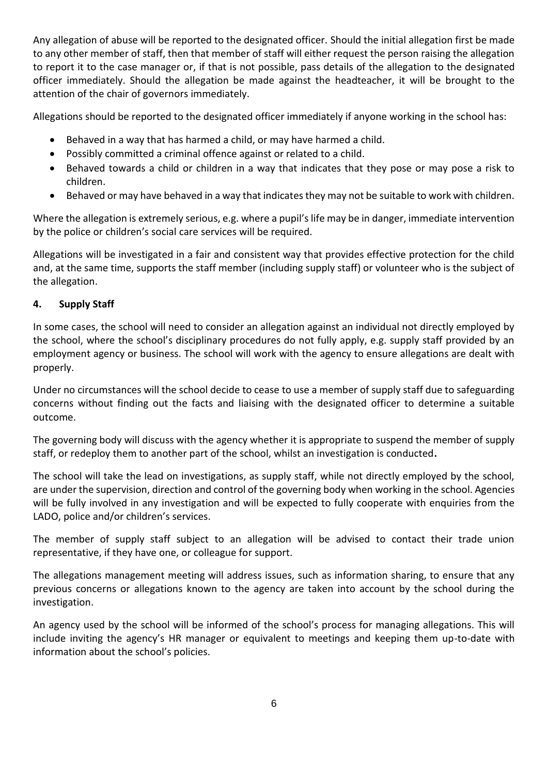Any allegation of abuse will be reported to the designated officer. Should the initial allegation first be made to any other member of staff, then that member of staff will either request the person raising the allegation to report it to the case manager or, if that is not possible, pass details of the allegation to the designated officer immediately. Should the allegation be made against the headteacher, it will be brought to the attention of the chair of governors immediately.

Allegations should be reported to the designated officer immediately if anyone working in the school has:

- Behaved in a way that has harmed a child, or may have harmed a child.
- Possibly committed a criminal offence against or related to a child.
- Behaved towards a child or children in a way that indicates that they pose or may pose a risk to children.
- Behaved or may have behaved in a way that indicates they may not be suitable to work with children.

Where the allegation is extremely serious, e.g. where a pupil's life may be in danger, immediate intervention by the police or children's social care services will be required.

Allegations will be investigated in a fair and consistent way that provides effective protection for the child and, at the same time, supports the staff member (including supply staff) or volunteer who is the subject of the allegation.

# <span id="page-5-0"></span>**4. Supply Staff**

In some cases, the school will need to consider an allegation against an individual not directly employed by the school, where the school's disciplinary procedures do not fully apply, e.g. supply staff provided by an employment agency or business. The school will work with the agency to ensure allegations are dealt with properly.

Under no circumstances will the school decide to cease to use a member of supply staff due to safeguarding concerns without finding out the facts and liaising with the designated officer to determine a suitable outcome.

The governing body will discuss with the agency whether it is appropriate to suspend the member of supply staff, or redeploy them to another part of the school, whilst an investigation is conducted**.**

The school will take the lead on investigations, as supply staff, while not directly employed by the school, are under the supervision, direction and control of the governing body when working in the school. Agencies will be fully involved in any investigation and will be expected to fully cooperate with enquiries from the LADO, police and/or children's services.

The member of supply staff subject to an allegation will be advised to contact their trade union representative, if they have one, or colleague for support.

The allegations management meeting will address issues, such as information sharing, to ensure that any previous concerns or allegations known to the agency are taken into account by the school during the investigation.

An agency used by the school will be informed of the school's process for managing allegations. This will include inviting the agency's HR manager or equivalent to meetings and keeping them up-to-date with information about the school's policies.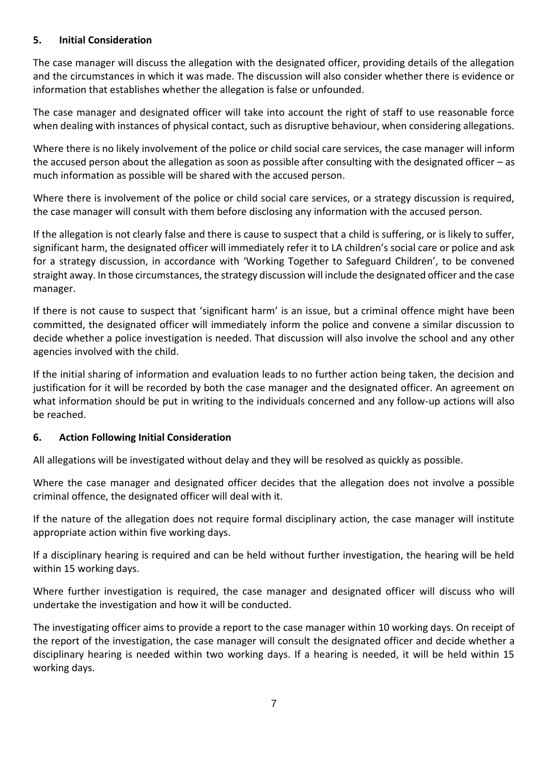#### <span id="page-6-0"></span>**5. Initial Consideration**

The case manager will discuss the allegation with the designated officer, providing details of the allegation and the circumstances in which it was made. The discussion will also consider whether there is evidence or information that establishes whether the allegation is false or unfounded.

The case manager and designated officer will take into account the right of staff to use reasonable force when dealing with instances of physical contact, such as disruptive behaviour, when considering allegations.

Where there is no likely involvement of the police or child social care services, the case manager will inform the accused person about the allegation as soon as possible after consulting with the designated officer – as much information as possible will be shared with the accused person.

Where there is involvement of the police or child social care services, or a strategy discussion is required, the case manager will consult with them before disclosing any information with the accused person.

If the allegation is not clearly false and there is cause to suspect that a child is suffering, or is likely to suffer, significant harm, the designated officer will immediately refer it to LA children's social care or police and ask for a strategy discussion, in accordance with 'Working Together to Safeguard Children', to be convened straight away. In those circumstances, the strategy discussion will include the designated officer and the case manager.

If there is not cause to suspect that 'significant harm' is an issue, but a criminal offence might have been committed, the designated officer will immediately inform the police and convene a similar discussion to decide whether a police investigation is needed. That discussion will also involve the school and any other agencies involved with the child.

If the initial sharing of information and evaluation leads to no further action being taken, the decision and justification for it will be recorded by both the case manager and the designated officer. An agreement on what information should be put in writing to the individuals concerned and any follow-up actions will also be reached.

## <span id="page-6-1"></span>**6. Action Following Initial Consideration**

All allegations will be investigated without delay and they will be resolved as quickly as possible.

Where the case manager and designated officer decides that the allegation does not involve a possible criminal offence, the designated officer will deal with it.

If the nature of the allegation does not require formal disciplinary action, the case manager will institute appropriate action within five working days.

If a disciplinary hearing is required and can be held without further investigation, the hearing will be held within 15 working days.

Where further investigation is required, the case manager and designated officer will discuss who will undertake the investigation and how it will be conducted.

The investigating officer aims to provide a report to the case manager within 10 working days. On receipt of the report of the investigation, the case manager will consult the designated officer and decide whether a disciplinary hearing is needed within two working days. If a hearing is needed, it will be held within 15 working days.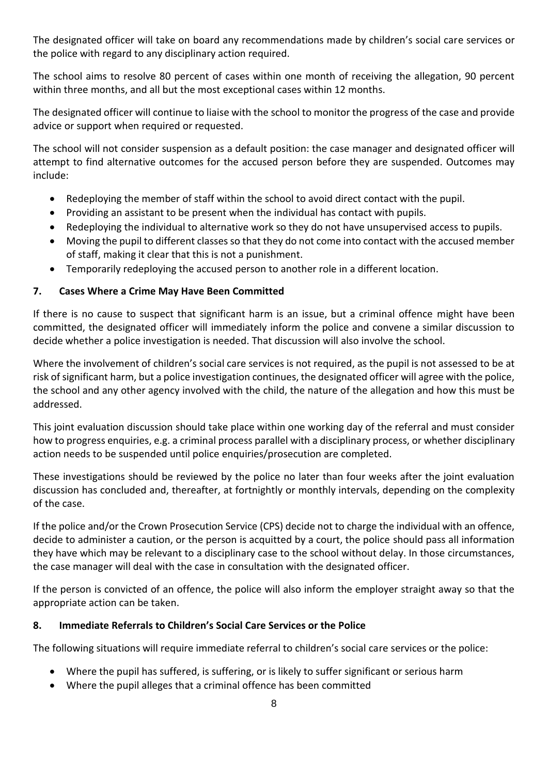The designated officer will take on board any recommendations made by children's social care services or the police with regard to any disciplinary action required.

The school aims to resolve 80 percent of cases within one month of receiving the allegation, 90 percent within three months, and all but the most exceptional cases within 12 months.

The designated officer will continue to liaise with the school to monitor the progress of the case and provide advice or support when required or requested.

The school will not consider suspension as a default position: the case manager and designated officer will attempt to find alternative outcomes for the accused person before they are suspended. Outcomes may include:

- Redeploying the member of staff within the school to avoid direct contact with the pupil.
- Providing an assistant to be present when the individual has contact with pupils.
- Redeploying the individual to alternative work so they do not have unsupervised access to pupils.
- Moving the pupil to different classes so that they do not come into contact with the accused member of staff, making it clear that this is not a punishment.
- Temporarily redeploying the accused person to another role in a different location.

## <span id="page-7-0"></span>**7. Cases Where a Crime May Have Been Committed**

If there is no cause to suspect that significant harm is an issue, but a criminal offence might have been committed, the designated officer will immediately inform the police and convene a similar discussion to decide whether a police investigation is needed. That discussion will also involve the school.

Where the involvement of children's social care services is not required, as the pupil is not assessed to be at risk of significant harm, but a police investigation continues, the designated officer will agree with the police, the school and any other agency involved with the child, the nature of the allegation and how this must be addressed.

This joint evaluation discussion should take place within one working day of the referral and must consider how to progress enquiries, e.g. a criminal process parallel with a disciplinary process, or whether disciplinary action needs to be suspended until police enquiries/prosecution are completed.

These investigations should be reviewed by the police no later than four weeks after the joint evaluation discussion has concluded and, thereafter, at fortnightly or monthly intervals, depending on the complexity of the case.

If the police and/or the Crown Prosecution Service (CPS) decide not to charge the individual with an offence, decide to administer a caution, or the person is acquitted by a court, the police should pass all information they have which may be relevant to a disciplinary case to the school without delay. In those circumstances, the case manager will deal with the case in consultation with the designated officer.

If the person is convicted of an offence, the police will also inform the employer straight away so that the appropriate action can be taken.

## <span id="page-7-1"></span>**8. Immediate Referrals to Children's Social Care Services or the Police**

The following situations will require immediate referral to children's social care services or the police:

- Where the pupil has suffered, is suffering, or is likely to suffer significant or serious harm
- Where the pupil alleges that a criminal offence has been committed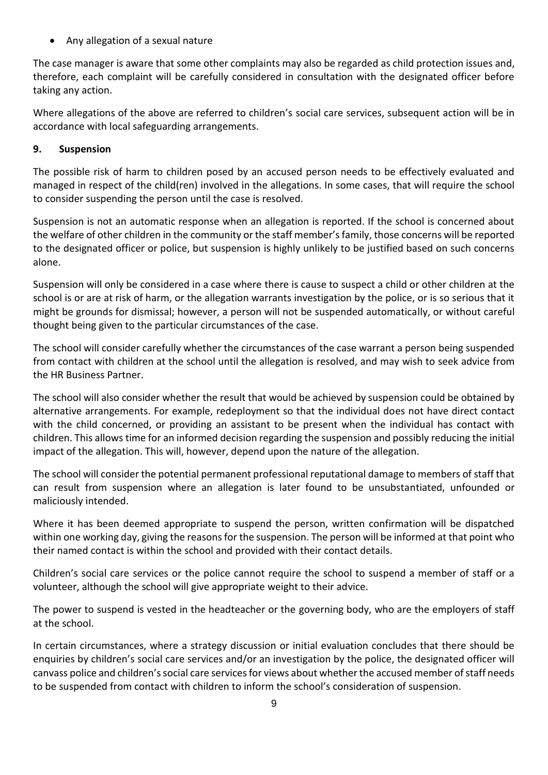• Any allegation of a sexual nature

The case manager is aware that some other complaints may also be regarded as child protection issues and, therefore, each complaint will be carefully considered in consultation with the designated officer before taking any action.

Where allegations of the above are referred to children's social care services, subsequent action will be in accordance with local safeguarding arrangements.

#### <span id="page-8-0"></span>**9. Suspension**

The possible risk of harm to children posed by an accused person needs to be effectively evaluated and managed in respect of the child(ren) involved in the allegations. In some cases, that will require the school to consider suspending the person until the case is resolved.

Suspension is not an automatic response when an allegation is reported. If the school is concerned about the welfare of other children in the community or the staff member's family, those concerns will be reported to the designated officer or police, but suspension is highly unlikely to be justified based on such concerns alone.

Suspension will only be considered in a case where there is cause to suspect a child or other children at the school is or are at risk of harm, or the allegation warrants investigation by the police, or is so serious that it might be grounds for dismissal; however, a person will not be suspended automatically, or without careful thought being given to the particular circumstances of the case.

The school will consider carefully whether the circumstances of the case warrant a person being suspended from contact with children at the school until the allegation is resolved, and may wish to seek advice from the HR Business Partner.

The school will also consider whether the result that would be achieved by suspension could be obtained by alternative arrangements. For example, redeployment so that the individual does not have direct contact with the child concerned, or providing an assistant to be present when the individual has contact with children. This allows time for an informed decision regarding the suspension and possibly reducing the initial impact of the allegation. This will, however, depend upon the nature of the allegation.

The school will consider the potential permanent professional reputational damage to members of staff that can result from suspension where an allegation is later found to be unsubstantiated, unfounded or maliciously intended.

Where it has been deemed appropriate to suspend the person, written confirmation will be dispatched within one working day, giving the reasons for the suspension. The person will be informed at that point who their named contact is within the school and provided with their contact details.

Children's social care services or the police cannot require the school to suspend a member of staff or a volunteer, although the school will give appropriate weight to their advice.

The power to suspend is vested in the headteacher or the governing body, who are the employers of staff at the school.

In certain circumstances, where a strategy discussion or initial evaluation concludes that there should be enquiries by children's social care services and/or an investigation by the police, the designated officer will canvass police and children's social care services for views about whether the accused member of staff needs to be suspended from contact with children to inform the school's consideration of suspension.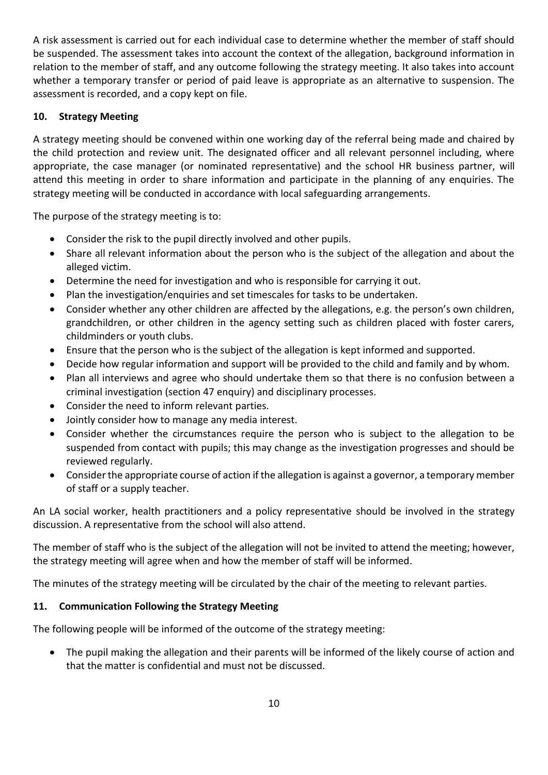A risk assessment is carried out for each individual case to determine whether the member of staff should be suspended. The assessment takes into account the context of the allegation, background information in relation to the member of staff, and any outcome following the strategy meeting. It also takes into account whether a temporary transfer or period of paid leave is appropriate as an alternative to suspension. The assessment is recorded, and a copy kept on file.

#### <span id="page-9-0"></span>**10. Strategy Meeting**

A strategy meeting should be convened within one working day of the referral being made and chaired by the child protection and review unit. The designated officer and all relevant personnel including, where appropriate, the case manager (or nominated representative) and the school HR business partner, will attend this meeting in order to share information and participate in the planning of any enquiries. The strategy meeting will be conducted in accordance with local safeguarding arrangements.

The purpose of the strategy meeting is to:

- Consider the risk to the pupil directly involved and other pupils.
- Share all relevant information about the person who is the subject of the allegation and about the alleged victim.
- Determine the need for investigation and who is responsible for carrying it out.
- Plan the investigation/enquiries and set timescales for tasks to be undertaken.
- Consider whether any other children are affected by the allegations, e.g. the person's own children, grandchildren, or other children in the agency setting such as children placed with foster carers, childminders or youth clubs.
- Ensure that the person who is the subject of the allegation is kept informed and supported.
- Decide how regular information and support will be provided to the child and family and by whom.
- Plan all interviews and agree who should undertake them so that there is no confusion between a criminal investigation (section 47 enquiry) and disciplinary processes.
- Consider the need to inform relevant parties.
- Jointly consider how to manage any media interest.
- Consider whether the circumstances require the person who is subject to the allegation to be suspended from contact with pupils; this may change as the investigation progresses and should be reviewed regularly.
- Consider the appropriate course of action if the allegation is against a governor, a temporary member of staff or a supply teacher.

An LA social worker, health practitioners and a policy representative should be involved in the strategy discussion. A representative from the school will also attend.

The member of staff who is the subject of the allegation will not be invited to attend the meeting; however, the strategy meeting will agree when and how the member of staff will be informed.

The minutes of the strategy meeting will be circulated by the chair of the meeting to relevant parties.

#### <span id="page-9-1"></span>**11. Communication Following the Strategy Meeting**

The following people will be informed of the outcome of the strategy meeting:

• The pupil making the allegation and their parents will be informed of the likely course of action and that the matter is confidential and must not be discussed.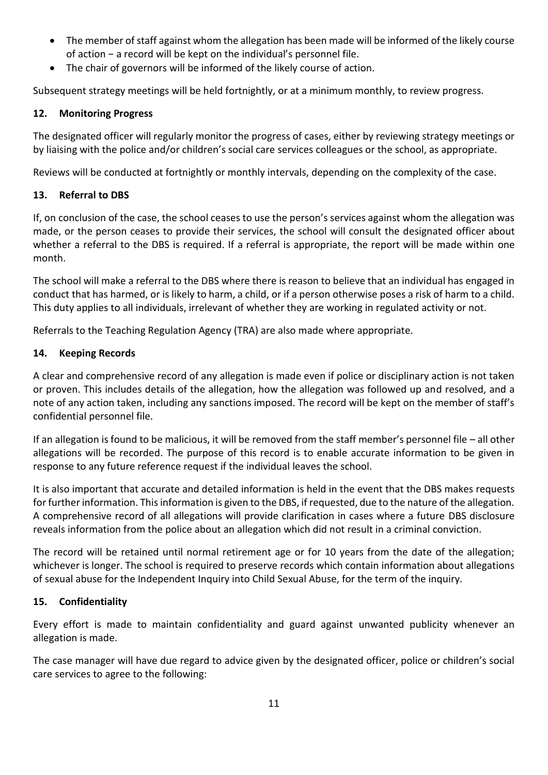- The member of staff against whom the allegation has been made will be informed of the likely course of action − a record will be kept on the individual's personnel file.
- The chair of governors will be informed of the likely course of action.

Subsequent strategy meetings will be held fortnightly, or at a minimum monthly, to review progress.

## <span id="page-10-0"></span>**12. Monitoring Progress**

The designated officer will regularly monitor the progress of cases, either by reviewing strategy meetings or by liaising with the police and/or children's social care services colleagues or the school, as appropriate.

Reviews will be conducted at fortnightly or monthly intervals, depending on the complexity of the case.

## <span id="page-10-1"></span>**13. Referral to DBS**

If, on conclusion of the case, the school ceases to use the person's services against whom the allegation was made, or the person ceases to provide their services, the school will consult the designated officer about whether a referral to the DBS is required. If a referral is appropriate, the report will be made within one month.

The school will make a referral to the DBS where there is reason to believe that an individual has engaged in conduct that has harmed, or is likely to harm, a child, or if a person otherwise poses a risk of harm to a child. This duty applies to all individuals, irrelevant of whether they are working in regulated activity or not.

Referrals to the Teaching Regulation Agency (TRA) are also made where appropriate.

## <span id="page-10-2"></span>**14. Keeping Records**

A clear and comprehensive record of any allegation is made even if police or disciplinary action is not taken or proven. This includes details of the allegation, how the allegation was followed up and resolved, and a note of any action taken, including any sanctions imposed. The record will be kept on the member of staff's confidential personnel file.

If an allegation is found to be malicious, it will be removed from the staff member's personnel file – all other allegations will be recorded. The purpose of this record is to enable accurate information to be given in response to any future reference request if the individual leaves the school.

It is also important that accurate and detailed information is held in the event that the DBS makes requests for further information. This information is given to the DBS, if requested, due to the nature of the allegation. A comprehensive record of all allegations will provide clarification in cases where a future DBS disclosure reveals information from the police about an allegation which did not result in a criminal conviction.

The record will be retained until normal retirement age or for 10 years from the date of the allegation; whichever is longer. The school is required to preserve records which contain information about allegations of sexual abuse for the Independent Inquiry into Child Sexual Abuse, for the term of the inquiry.

# <span id="page-10-3"></span>**15. Confidentiality**

Every effort is made to maintain confidentiality and guard against unwanted publicity whenever an allegation is made.

The case manager will have due regard to advice given by the designated officer, police or children's social care services to agree to the following: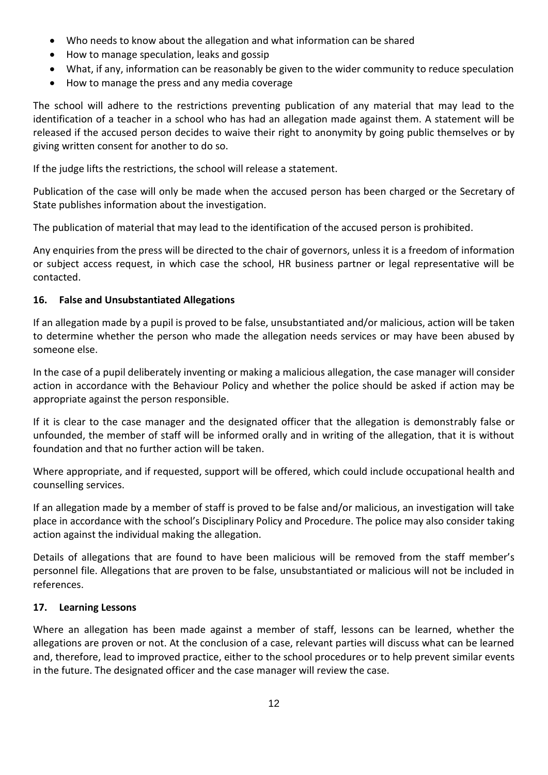- Who needs to know about the allegation and what information can be shared
- How to manage speculation, leaks and gossip
- What, if any, information can be reasonably be given to the wider community to reduce speculation
- How to manage the press and any media coverage

The school will adhere to the restrictions preventing publication of any material that may lead to the identification of a teacher in a school who has had an allegation made against them. A statement will be released if the accused person decides to waive their right to anonymity by going public themselves or by giving written consent for another to do so.

If the judge lifts the restrictions, the school will release a statement.

Publication of the case will only be made when the accused person has been charged or the Secretary of State publishes information about the investigation.

The publication of material that may lead to the identification of the accused person is prohibited.

Any enquiries from the press will be directed to the chair of governors, unless it is a freedom of information or subject access request, in which case the school, HR business partner or legal representative will be contacted.

#### <span id="page-11-0"></span>**16. False and Unsubstantiated Allegations**

If an allegation made by a pupil is proved to be false, unsubstantiated and/or malicious, action will be taken to determine whether the person who made the allegation needs services or may have been abused by someone else.

In the case of a pupil deliberately inventing or making a malicious allegation, the case manager will consider action in accordance with the Behaviour Policy and whether the police should be asked if action may be appropriate against the person responsible.

If it is clear to the case manager and the designated officer that the allegation is demonstrably false or unfounded, the member of staff will be informed orally and in writing of the allegation, that it is without foundation and that no further action will be taken.

Where appropriate, and if requested, support will be offered, which could include occupational health and counselling services.

If an allegation made by a member of staff is proved to be false and/or malicious, an investigation will take place in accordance with the school's Disciplinary Policy and Procedure. The police may also consider taking action against the individual making the allegation.

Details of allegations that are found to have been malicious will be removed from the staff member's personnel file. Allegations that are proven to be false, unsubstantiated or malicious will not be included in references.

#### <span id="page-11-1"></span>**17. Learning Lessons**

Where an allegation has been made against a member of staff, lessons can be learned, whether the allegations are proven or not. At the conclusion of a case, relevant parties will discuss what can be learned and, therefore, lead to improved practice, either to the school procedures or to help prevent similar events in the future. The designated officer and the case manager will review the case.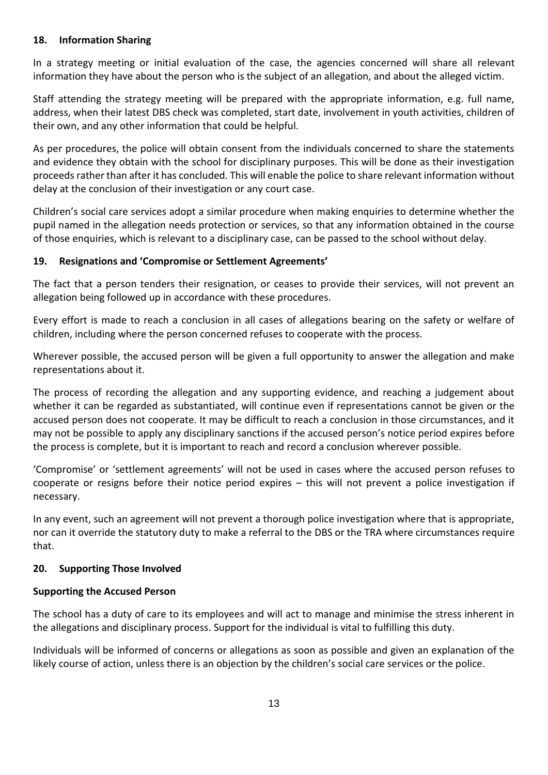#### <span id="page-12-0"></span>**18. Information Sharing**

In a strategy meeting or initial evaluation of the case, the agencies concerned will share all relevant information they have about the person who is the subject of an allegation, and about the alleged victim.

Staff attending the strategy meeting will be prepared with the appropriate information, e.g. full name, address, when their latest DBS check was completed, start date, involvement in youth activities, children of their own, and any other information that could be helpful.

As per procedures, the police will obtain consent from the individuals concerned to share the statements and evidence they obtain with the school for disciplinary purposes. This will be done as their investigation proceeds rather than after it has concluded. This will enable the police to share relevant information without delay at the conclusion of their investigation or any court case.

Children's social care services adopt a similar procedure when making enquiries to determine whether the pupil named in the allegation needs protection or services, so that any information obtained in the course of those enquiries, which is relevant to a disciplinary case, can be passed to the school without delay.

#### <span id="page-12-1"></span>**19. Resignations and 'Compromise or Settlement Agreements'**

The fact that a person tenders their resignation, or ceases to provide their services, will not prevent an allegation being followed up in accordance with these procedures.

Every effort is made to reach a conclusion in all cases of allegations bearing on the safety or welfare of children, including where the person concerned refuses to cooperate with the process.

Wherever possible, the accused person will be given a full opportunity to answer the allegation and make representations about it.

The process of recording the allegation and any supporting evidence, and reaching a judgement about whether it can be regarded as substantiated, will continue even if representations cannot be given or the accused person does not cooperate. It may be difficult to reach a conclusion in those circumstances, and it may not be possible to apply any disciplinary sanctions if the accused person's notice period expires before the process is complete, but it is important to reach and record a conclusion wherever possible.

'Compromise' or 'settlement agreements' will not be used in cases where the accused person refuses to cooperate or resigns before their notice period expires – this will not prevent a police investigation if necessary.

In any event, such an agreement will not prevent a thorough police investigation where that is appropriate, nor can it override the statutory duty to make a referral to the DBS or the TRA where circumstances require that.

#### <span id="page-12-2"></span>**20. Supporting Those Involved**

#### **Supporting the Accused Person**

The school has a duty of care to its employees and will act to manage and minimise the stress inherent in the allegations and disciplinary process. Support for the individual is vital to fulfilling this duty.

Individuals will be informed of concerns or allegations as soon as possible and given an explanation of the likely course of action, unless there is an objection by the children's social care services or the police.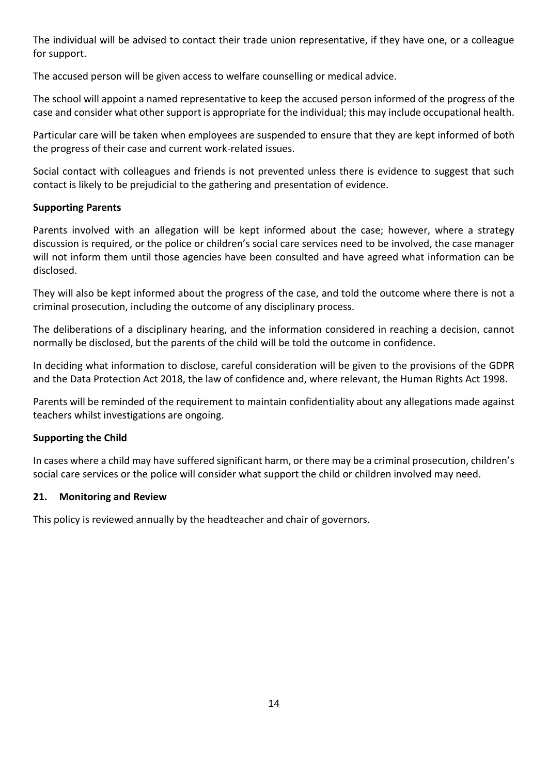The individual will be advised to contact their trade union representative, if they have one, or a colleague for support.

The accused person will be given access to welfare counselling or medical advice.

The school will appoint a named representative to keep the accused person informed of the progress of the case and consider what other support is appropriate for the individual; this may include occupational health.

Particular care will be taken when employees are suspended to ensure that they are kept informed of both the progress of their case and current work-related issues.

Social contact with colleagues and friends is not prevented unless there is evidence to suggest that such contact is likely to be prejudicial to the gathering and presentation of evidence.

#### **Supporting Parents**

Parents involved with an allegation will be kept informed about the case; however, where a strategy discussion is required, or the police or children's social care services need to be involved, the case manager will not inform them until those agencies have been consulted and have agreed what information can be disclosed.

They will also be kept informed about the progress of the case, and told the outcome where there is not a criminal prosecution, including the outcome of any disciplinary process.

The deliberations of a disciplinary hearing, and the information considered in reaching a decision, cannot normally be disclosed, but the parents of the child will be told the outcome in confidence.

In deciding what information to disclose, careful consideration will be given to the provisions of the GDPR and the Data Protection Act 2018, the law of confidence and, where relevant, the Human Rights Act 1998.

Parents will be reminded of the requirement to maintain confidentiality about any allegations made against teachers whilst investigations are ongoing.

## **Supporting the Child**

In cases where a child may have suffered significant harm, or there may be a criminal prosecution, children's social care services or the police will consider what support the child or children involved may need.

#### <span id="page-13-0"></span>**21. Monitoring and Review**

This policy is reviewed annually by the headteacher and chair of governors.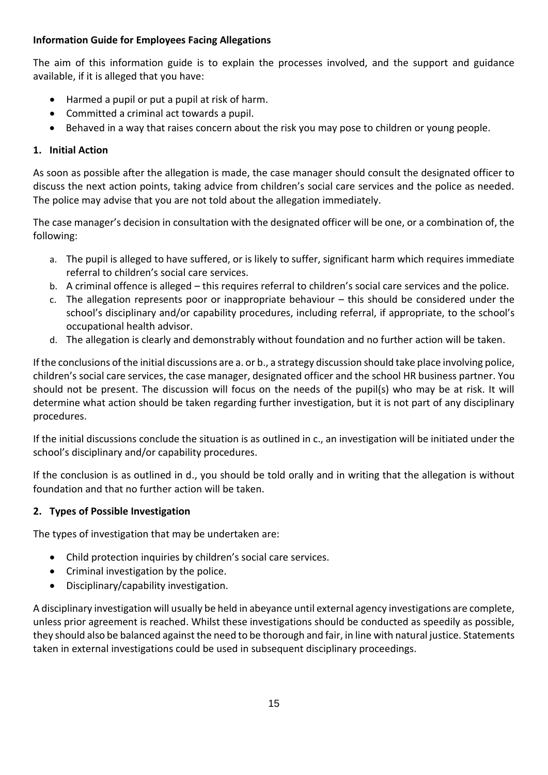#### <span id="page-14-0"></span>**Information Guide for Employees Facing Allegations**

The aim of this information guide is to explain the processes involved, and the support and guidance available, if it is alleged that you have:

- Harmed a pupil or put a pupil at risk of harm.
- Committed a criminal act towards a pupil.
- Behaved in a way that raises concern about the risk you may pose to children or young people.

## **1. Initial Action**

As soon as possible after the allegation is made, the case manager should consult the designated officer to discuss the next action points, taking advice from children's social care services and the police as needed. The police may advise that you are not told about the allegation immediately.

The case manager's decision in consultation with the designated officer will be one, or a combination of, the following:

- a. The pupil is alleged to have suffered, or is likely to suffer, significant harm which requires immediate referral to children's social care services.
- b. A criminal offence is alleged this requires referral to children's social care services and the police.
- c. The allegation represents poor or inappropriate behaviour this should be considered under the school's disciplinary and/or capability procedures, including referral, if appropriate, to the school's occupational health advisor.
- d. The allegation is clearly and demonstrably without foundation and no further action will be taken.

If the conclusions of the initial discussions are a. or b., a strategy discussion should take place involving police, children's social care services, the case manager, designated officer and the school HR business partner. You should not be present. The discussion will focus on the needs of the pupil(s) who may be at risk. It will determine what action should be taken regarding further investigation, but it is not part of any disciplinary procedures.

If the initial discussions conclude the situation is as outlined in c., an investigation will be initiated under the school's disciplinary and/or capability procedures.

If the conclusion is as outlined in d., you should be told orally and in writing that the allegation is without foundation and that no further action will be taken.

## **2. Types of Possible Investigation**

The types of investigation that may be undertaken are:

- Child protection inquiries by children's social care services.
- Criminal investigation by the police.
- Disciplinary/capability investigation.

A disciplinary investigation will usually be held in abeyance until external agency investigations are complete, unless prior agreement is reached. Whilst these investigations should be conducted as speedily as possible, they should also be balanced against the need to be thorough and fair, in line with natural justice. Statements taken in external investigations could be used in subsequent disciplinary proceedings.